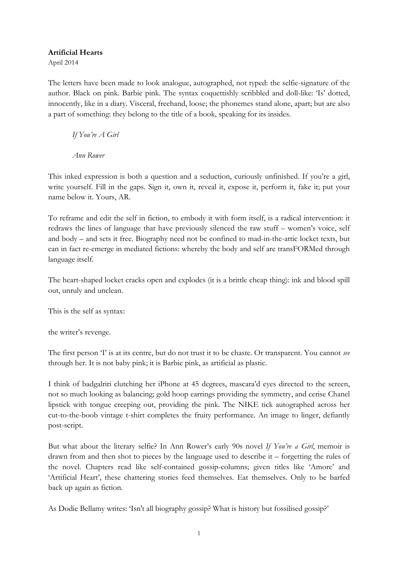## **Artificial Hearts**

April 2014

The letters have been made to look analogue, autographed, not typed: the selfie-signature of the author. Black on pink. Barbie pink. The syntax coquettishly scribbled and doll-like: 'Is' dotted, innocently, like in a diary. Visceral, freehand, loose; the phonemes stand alone, apart; but are also a part of something: they belong to the title of a book, speaking for its insides.

*If You're A Girl*

*Ann Rower*

This inked expression is both a question and a seduction, curiously unfinished. If you're a girl, write yourself. Fill in the gaps. Sign it, own it, reveal it, expose it, perform it, fake it; put your name below it. Yours, AR.

To reframe and edit the self in fiction, to embody it with form itself, is a radical intervention: it redraws the lines of language that have previously silenced the raw stuff – women's voice, self and body – and sets it free. Biography need not be confined to mad-in-the-attic locket texts, but can in fact re-emerge in mediated fictions: whereby the body and self are transFORMed through language itself.

The heart-shaped locket cracks open and explodes (it is a brittle cheap thing): ink and blood spill out, unruly and unclean.

This is the self as syntax:

the writer's revenge.

The first person 'I' is at its centre, but do not trust it to be chaste. Or transparent. You cannot *see*  through her. It is not baby pink; it is Barbie pink, as artificial as plastic.

I think of badgalriri clutching her iPhone at 45 degrees, mascara'd eyes directed to the screen, not so much looking as balancing; gold hoop earrings providing the symmetry, and cerise Chanel lipstick with tongue creeping out, providing the pink. The NIKE tick autographed across her cut-to-the-boob vintage t-shirt completes the fruity performance. An image to linger, defiantly post-script.

But what about the literary selfie? In Ann Rower's early 90s novel *If You're a Girl*, memoir is drawn from and then shot to pieces by the language used to describe it – forgetting the rules of the novel. Chapters read like self-contained gossip-columns; given titles like 'Amore' and 'Artificial Heart', these chattering stories feed themselves. Eat themselves. Only to be barfed back up again as fiction.

As Dodie Bellamy writes: 'Isn't all biography gossip? What is history but fossilised gossip?'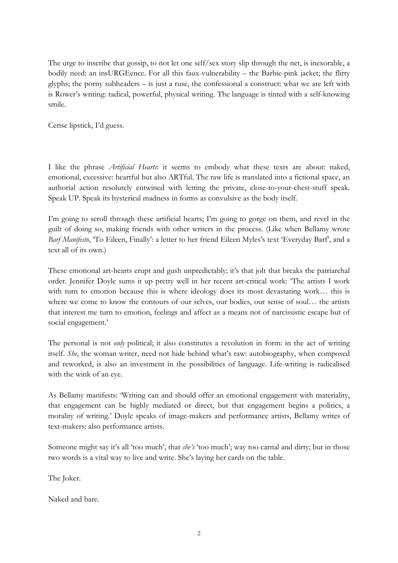The urge to inscribe that gossip, to not let one self/sex story slip through the net, is inexorable, a bodily need: an insURGEence. For all this faux-vulnerability – the Barbie-pink jacket; the flirty glyphs; the porny subheaders – is just a ruse, the confessional a construct: what we are left with is Rower's writing: radical, powerful, physical writing. The language is tinted with a self-knowing smile.

Cerise lipstick, I'd guess.

I like the phrase *Artificial Hearts*: it seems to embody what these texts are about: naked, emotional, excessive: heartful but also ARTful. The raw life is translated into a fictional space, an authorial action resolutely entwined with letting the private, close-to-your-chest-stuff speak. Speak UP. Speak its hysterical madness in forms as convulsive as the body itself.

I'm going to scroll through these artificial hearts; I'm going to gorge on them, and revel in the guilt of doing so, making friends with other writers in the process. (Like when Bellamy wrote *Barf Manifesto*, 'To Eileen, Finally': a letter to her friend Eileen Myles's text 'Everyday Barf', and a text all of its own.)

These emotional art-hearts erupt and gush unpredictably; it's that jolt that breaks the patriarchal order. Jennifer Doyle sums it up pretty well in her recent art-critical work: 'The artists I work with turn to emotion because this is where ideology does its most devastating work… this is where we come to know the contours of our selves, our bodies, our sense of soul… the artists that interest me turn to emotion, feelings and affect as a means not of narcissistic escape but of social engagement.'

The personal is not *only* political; it also constitutes a revolution in form: in the act of writing itself. *She*, the woman writer, need not hide behind what's raw: autobiography, when composed and reworked, is also an investment in the possibilities of language. Life-writing is radicalised with the wink of an eye.

As Bellamy manifests: 'Writing can and should offer an emotional engagement with materiality, that engagement can be highly mediated or direct, but that engagement begins a politics, a morality of writing.' Doyle speaks of image-makers and performance artists, Bellamy writes of text-makers: also performance artists.

Someone might say it's all 'too much', that *she's* 'too much'; way too carnal and dirty; but in those two words is a vital way to live and write. She's laying her cards on the table.

The Joker.

Naked and bare.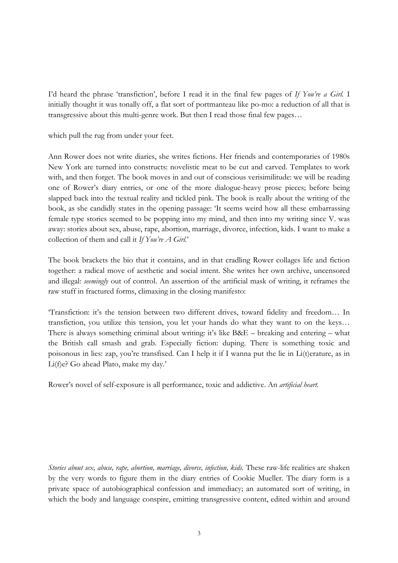I'd heard the phrase 'transfiction', before I read it in the final few pages of *If You're a Girl.* I initially thought it was tonally off, a flat sort of portmanteau like po-mo: a reduction of all that is transgressive about this multi-genre work. But then I read those final few pages…

which pull the rug from under your feet.

Ann Rower does not write diaries, she writes fictions. Her friends and contemporaries of 1980s New York are turned into constructs: novelistic meat to be cut and carved. Templates to work with, and then forget. The book moves in and out of conscious verisimilitude: we will be reading one of Rower's diary entries, or one of the more dialogue-heavy prose pieces; before being slapped back into the textual reality and tickled pink. The book is really about the writing of the book, as she candidly states in the opening passage: 'It seems weird how all these embarrassing female type stories seemed to be popping into my mind, and then into my writing since V. was away: stories about sex, abuse, rape, abortion, marriage, divorce, infection, kids. I want to make a collection of them and call it *If You're A Girl.*'

The book brackets the bio that it contains, and in that cradling Rower collages life and fiction together: a radical move of aesthetic and social intent. She writes her own archive, uncensored and illegal: *seemingly* out of control. An assertion of the artificial mask of writing, it reframes the raw stuff in fractured forms, climaxing in the closing manifesto:

'Transfiction: it's the tension between two different drives, toward fidelity and freedom… In transfiction, you utilize this tension, you let your hands do what they want to on the keys… There is always something criminal about writing: it's like B&E – breaking and entering – what the British call smash and grab. Especially fiction: duping. There is something toxic and poisonous in lies: zap, you're transfixed. Can I help it if I wanna put the lie in Li(t)erature, as in Li(f)e? Go ahead Plato, make my day.'

Rower's novel of self-exposure is all performance, toxic and addictive. An *artificial heart.* 

*Stories about sex, abuse, rape, abortion, marriage, divorce, infection, kids.* These raw-life realities are shaken by the very words to figure them in the diary entries of Cookie Mueller. The diary form is a private space of autobiographical confession and immediacy; an automated sort of writing, in which the body and language conspire, emitting transgressive content, edited within and around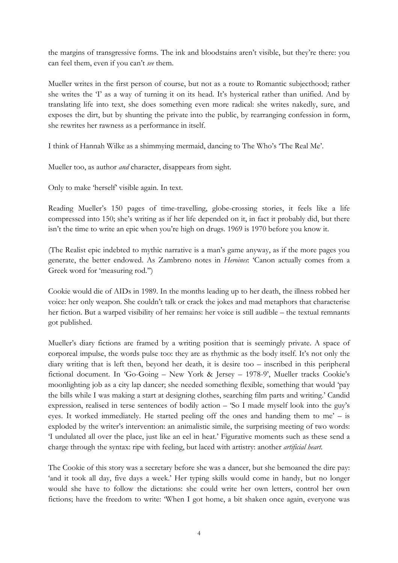the margins of transgressive forms. The ink and bloodstains aren't visible, but they're there: you can feel them, even if you can't *see* them.

Mueller writes in the first person of course, but not as a route to Romantic subjecthood; rather she writes the 'I' as a way of turning it on its head. It's hysterical rather than unified. And by translating life into text, she does something even more radical: she writes nakedly, sure, and exposes the dirt, but by shunting the private into the public, by rearranging confession in form, she rewrites her rawness as a performance in itself.

I think of Hannah Wilke as a shimmying mermaid, dancing to The Who's 'The Real Me'.

Mueller too, as author *and* character, disappears from sight.

Only to make 'herself' visible again. In text.

Reading Mueller's 150 pages of time-travelling, globe-crossing stories, it feels like a life compressed into 150; she's writing as if her life depended on it, in fact it probably did, but there isn't the time to write an epic when you're high on drugs. 1969 is 1970 before you know it.

(The Realist epic indebted to mythic narrative is a man's game anyway, as if the more pages you generate, the better endowed. As Zambreno notes in *Heroines*: 'Canon actually comes from a Greek word for 'measuring rod.'')

Cookie would die of AIDs in 1989. In the months leading up to her death, the illness robbed her voice: her only weapon. She couldn't talk or crack the jokes and mad metaphors that characterise her fiction. But a warped visibility of her remains: her voice is still audible – the textual remnants got published.

Mueller's diary fictions are framed by a writing position that is seemingly private. A space of corporeal impulse, the words pulse too: they are as rhythmic as the body itself. It's not only the diary writing that is left then, beyond her death, it is desire too – inscribed in this peripheral fictional document. In 'Go-Going – New York & Jersey – 1978-9', Mueller tracks Cookie's moonlighting job as a city lap dancer; she needed something flexible, something that would 'pay the bills while I was making a start at designing clothes, searching film parts and writing.' Candid expression, realised in terse sentences of bodily action – 'So I made myself look into the guy's eyes. It worked immediately. He started peeling off the ones and handing them to me' – is exploded by the writer's intervention: an animalistic simile, the surprising meeting of two words: 'I undulated all over the place, just like an eel in heat.' Figurative moments such as these send a charge through the syntax: ripe with feeling, but laced with artistry: another *artificial heart.* 

The Cookie of this story was a secretary before she was a dancer, but she bemoaned the dire pay: 'and it took all day, five days a week.' Her typing skills would come in handy, but no longer would she have to follow the dictations: she could write her own letters, control her own fictions; have the freedom to write: 'When I got home, a bit shaken once again, everyone was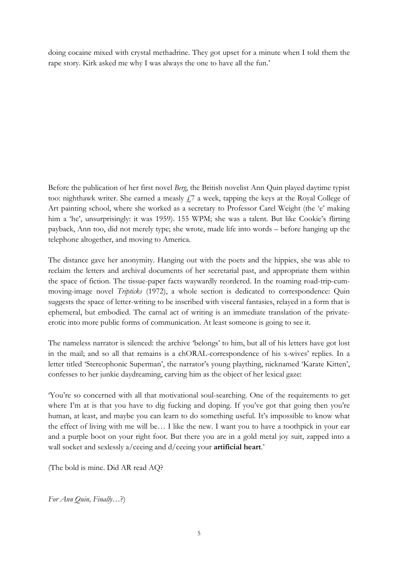doing cocaine mixed with crystal methadrine. They got upset for a minute when I told them the rape story. Kirk asked me why I was always the one to have all the fun.'

Before the publication of her first novel *Berg*, the British novelist Ann Quin played daytime typist too: nighthawk writer. She earned a measly  $f$ , a week, tapping the keys at the Royal College of Art painting school, where she worked as a secretary to Professor Carel Weight (the 'e' making him a 'he', unsurprisingly: it was 1959). 155 WPM; she was a talent. But like Cookie's flirting payback, Ann too, did not merely type; she wrote, made life into words – before hanging up the telephone altogether, and moving to America.

The distance gave her anonymity. Hanging out with the poets and the hippies, she was able to reclaim the letters and archival documents of her secretarial past, and appropriate them within the space of fiction. The tissue-paper facts waywardly reordered. In the roaming road-trip-cummoving-image novel *Tripticks* (1972), a whole section is dedicated to correspondence: Quin suggests the space of letter-writing to be inscribed with visceral fantasies, relayed in a form that is ephemeral, but embodied. The carnal act of writing is an immediate translation of the privateerotic into more public forms of communication. At least someone is going to see it.

The nameless narrator is silenced: the archive 'belongs' to him, but all of his letters have got lost in the mail; and so all that remains is a chORAL-correspondence of his x-wives' replies. In a letter titled 'Stereophonic Superman', the narrator's young plaything, nicknamed 'Karate Kitten', confesses to her junkie daydreaming, carving him as the object of her lexical gaze:

'You're so concerned with all that motivational soul-searching. One of the requirements to get where I'm at is that you have to dig fucking and doping. If you've got that going then you're human, at least, and maybe you can learn to do something useful. It's impossible to know what the effect of living with me will be… I like the new. I want you to have a toothpick in your ear and a purple boot on your right foot. But there you are in a gold metal joy suit, zapped into a wall socket and sexlessly a/ceeing and d/ceeing your **artificial heart**.'

(The bold is mine. Did AR read AQ?

*For Ann Quin, Finally*…?)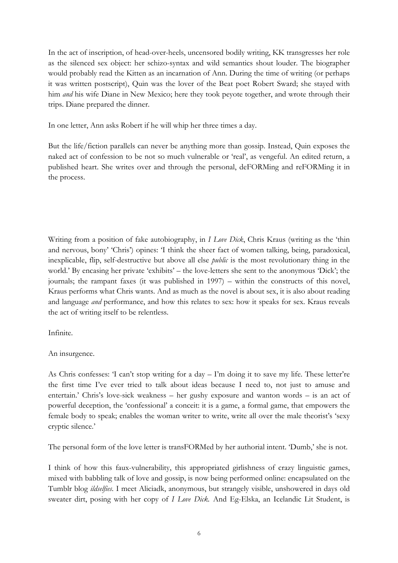In the act of inscription, of head-over-heels, uncensored bodily writing, KK transgresses her role as the silenced sex object: her schizo-syntax and wild semantics shout louder. The biographer would probably read the Kitten as an incarnation of Ann. During the time of writing (or perhaps it was written postscript), Quin was the lover of the Beat poet Robert Sward; she stayed with him *and* his wife Diane in New Mexico; here they took peyote together, and wrote through their trips. Diane prepared the dinner.

In one letter, Ann asks Robert if he will whip her three times a day.

But the life/fiction parallels can never be anything more than gossip. Instead, Quin exposes the naked act of confession to be not so much vulnerable or 'real', as vengeful. An edited return, a published heart. She writes over and through the personal, deFORMing and reFORMing it in the process.

Writing from a position of fake autobiography, in *I Love Dick*, Chris Kraus (writing as the 'thin and nervous, bony' 'Chris') opines: 'I think the sheer fact of women talking, being, paradoxical, inexplicable, flip, self-destructive but above all else *public* is the most revolutionary thing in the world.' By encasing her private 'exhibits' – the love-letters she sent to the anonymous 'Dick'; the journals; the rampant faxes (it was published in 1997) – within the constructs of this novel, Kraus performs what Chris wants. And as much as the novel is about sex, it is also about reading and language *and* performance, and how this relates to sex: how it speaks for sex. Kraus reveals the act of writing itself to be relentless.

Infinite.

An insurgence.

As Chris confesses: 'I can't stop writing for a day  $-$  I'm doing it to save my life. These letter're the first time I've ever tried to talk about ideas because I need to, not just to amuse and entertain.' Chris's love-sick weakness – her gushy exposure and wanton words – is an act of powerful deception, the 'confessional' a conceit: it is a game, a formal game, that empowers the female body to speak; enables the woman writer to write, write all over the male theorist's 'sexy cryptic silence.'

The personal form of the love letter is transFORMed by her authorial intent. 'Dumb,' she is not.

I think of how this faux-vulnerability, this appropriated girlishness of crazy linguistic games, mixed with babbling talk of love and gossip, is now being performed online: encapsulated on the Tumblr blog *ildselfies*. I meet Aliciadk, anonymous, but strangely visible, unshowered in days old sweater dirt, posing with her copy of *I Love Dick.* And Eg-Elska, an Icelandic Lit Student, is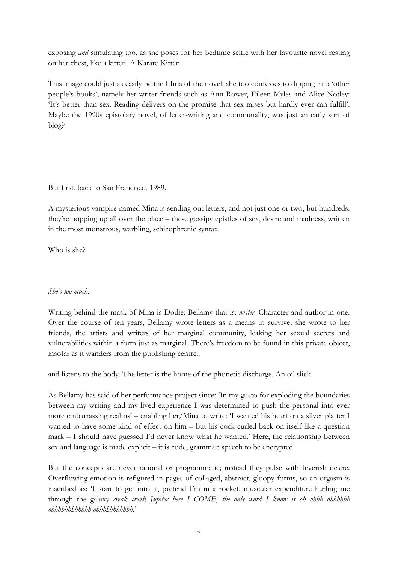exposing *and* simulating too, as she poses for her bedtime selfie with her favourite novel resting on her chest, like a kitten. A Karate Kitten.

This image could just as easily be the Chris of the novel; she too confesses to dipping into 'other people's books', namely her writer-friends such as Ann Rower, Eileen Myles and Alice Notley: 'It's better than sex. Reading delivers on the promise that sex raises but hardly ever can fulfill'. Maybe the 1990s epistolary novel, of letter-writing and communality, was just an early sort of blog?

But first, back to San Francisco, 1989.

A mysterious vampire named Mina is sending out letters, and not just one or two, but hundreds: they're popping up all over the place – these gossipy epistles of sex, desire and madness, written in the most monstrous, warbling, schizophrenic syntax.

Who is she?

## *She's too much.*

Writing behind the mask of Mina is Dodie: Bellamy that is: *writer.* Character and author in one. Over the course of ten years, Bellamy wrote letters as a means to survive; she wrote to her friends, the artists and writers of her marginal community, leaking her sexual secrets and vulnerabilities within a form just as marginal. There's freedom to be found in this private object, insofar as it wanders from the publishing centre...

and listens to the body. The letter is the home of the phonetic discharge. An oil slick.

As Bellamy has said of her performance project since: 'In my gusto for exploding the boundaries between my writing and my lived experience I was determined to push the personal into ever more embarrassing realms' – enabling her/Mina to write: 'I wanted his heart on a silver platter I wanted to have some kind of effect on him – but his cock curled back on itself like a question mark – I should have guessed I'd never know what he wanted.' Here, the relationship between sex and language is made explicit – it is code, grammar: speech to be encrypted.

But the concepts are never rational or programmatic; instead they pulse with feverish desire. Overflowing emotion is refigured in pages of collaged, abstract, gloopy forms, so an orgasm is inscribed as: 'I start to get into it, pretend I'm in a rocket, muscular expenditure hurling me through the galaxy *creak creak Jupiter here I COME, the only word I know is oh ohhh ohhhhhh ohhhhhhhhhhhh ohhhhhhhhhhh.*'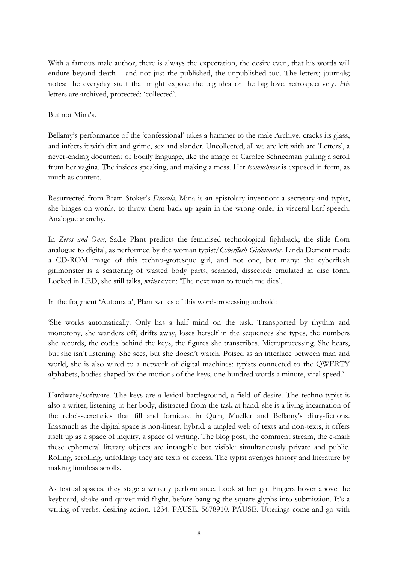With a famous male author, there is always the expectation, the desire even, that his words will endure beyond death – and not just the published, the unpublished too. The letters; journals; notes: the everyday stuff that might expose the big idea or the big love, retrospectively. *His* letters are archived, protected: 'collected'.

But not Mina's.

Bellamy's performance of the 'confessional' takes a hammer to the male Archive, cracks its glass, and infects it with dirt and grime, sex and slander. Uncollected, all we are left with are 'Letters', a never-ending document of bodily language, like the image of Carolee Schneeman pulling a scroll from her vagina. The insides speaking, and making a mess. Her *toomuchness* is exposed in form, as much as content.

Resurrected from Bram Stoker's *Dracula*, Mina is an epistolary invention: a secretary and typist, she binges on words, to throw them back up again in the wrong order in visceral barf-speech. Analogue anarchy.

In *Zeros and Ones*, Sadie Plant predicts the feminised technological fightback; the slide from analogue to digital, as performed by the woman typist/*Cyberflesh Girlmonster.* Linda Dement made a CD-ROM image of this techno-grotesque girl, and not one, but many: the cyberflesh girlmonster is a scattering of wasted body parts, scanned, dissected: emulated in disc form. Locked in LED, she still talks, *writes* even: 'The next man to touch me dies'.

In the fragment 'Automata', Plant writes of this word-processing android:

'She works automatically. Only has a half mind on the task. Transported by rhythm and monotony, she wanders off, drifts away, loses herself in the sequences she types, the numbers she records, the codes behind the keys, the figures she transcribes. Microprocessing. She hears, but she isn't listening. She sees, but she doesn't watch. Poised as an interface between man and world, she is also wired to a network of digital machines: typists connected to the QWERTY alphabets, bodies shaped by the motions of the keys, one hundred words a minute, viral speed.'

Hardware/software. The keys are a lexical battleground, a field of desire. The techno-typist is also a writer; listening to her body, distracted from the task at hand, she is a living incarnation of the rebel-secretaries that fill and fornicate in Quin, Mueller and Bellamy's diary-fictions. Inasmuch as the digital space is non-linear, hybrid, a tangled web of texts and non-texts, it offers itself up as a space of inquiry, a space of writing. The blog post, the comment stream, the e-mail: these ephemeral literary objects are intangible but visible: simultaneously private and public. Rolling, scrolling, unfolding: they are texts of excess. The typist avenges history and literature by making limitless scrolls.

As textual spaces, they stage a writerly performance. Look at her go. Fingers hover above the keyboard, shake and quiver mid-flight, before banging the square-glyphs into submission. It's a writing of verbs: desiring action. 1234. PAUSE. 5678910. PAUSE. Utterings come and go with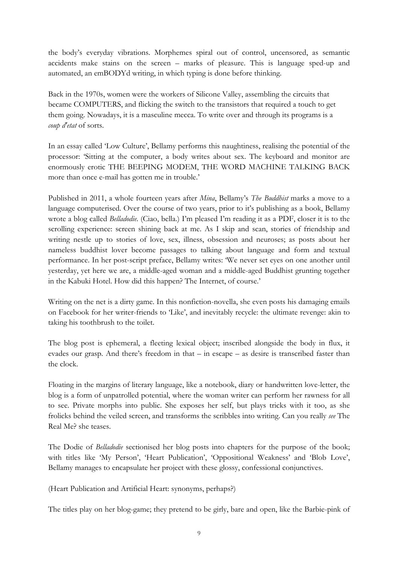the body's everyday vibrations. Morphemes spiral out of control, uncensored, as semantic accidents make stains on the screen – marks of pleasure. This is language sped-up and automated, an emBODYd writing, in which typing is done before thinking.

Back in the 1970s, women were the workers of Silicone Valley, assembling the circuits that became COMPUTERS, and flicking the switch to the transistors that required a touch to get them going. Nowadays, it is a masculine mecca. To write over and through its programs is a *coup d'etat* of sorts.

In an essay called 'Low Culture', Bellamy performs this naughtiness, realising the potential of the processor: 'Sitting at the computer, a body writes about sex. The keyboard and monitor are enormously erotic THE BEEPING MODEM, THE WORD MACHINE TALKING BACK more than once e-mail has gotten me in trouble.'

Published in 2011, a whole fourteen years after *Mina*, Bellamy's *The Buddhist* marks a move to a language computerised. Over the course of two years, prior to it's publishing as a book, Bellamy wrote a blog called *Belladodie*. (Ciao, bella.) I'm pleased I'm reading it as a PDF, closer it is to the scrolling experience: screen shining back at me. As I skip and scan, stories of friendship and writing nestle up to stories of love, sex, illness, obsession and neuroses; as posts about her nameless buddhist lover become passages to talking about language and form and textual performance. In her post-script preface, Bellamy writes: 'We never set eyes on one another until yesterday, yet here we are, a middle-aged woman and a middle-aged Buddhist grunting together in the Kabuki Hotel. How did this happen? The Internet, of course.'

Writing on the net is a dirty game. In this nonfiction-novella, she even posts his damaging emails on Facebook for her writer-friends to 'Like', and inevitably recycle: the ultimate revenge: akin to taking his toothbrush to the toilet.

The blog post is ephemeral, a fleeting lexical object; inscribed alongside the body in flux, it evades our grasp. And there's freedom in that – in escape – as desire is transcribed faster than the clock.

Floating in the margins of literary language, like a notebook, diary or handwritten love-letter, the blog is a form of unpatrolled potential, where the woman writer can perform her rawness for all to see. Private morphs into public. She exposes her self, but plays tricks with it too, as she frolicks behind the veiled screen, and transforms the scribbles into writing. Can you really *see* The Real Me? she teases.

The Dodie of *Belladodie* sectionised her blog posts into chapters for the purpose of the book; with titles like 'My Person', 'Heart Publication', 'Oppositional Weakness' and 'Blob Love', Bellamy manages to encapsulate her project with these glossy, confessional conjunctives.

(Heart Publication and Artificial Heart: synonyms, perhaps?)

The titles play on her blog-game; they pretend to be girly, bare and open, like the Barbie-pink of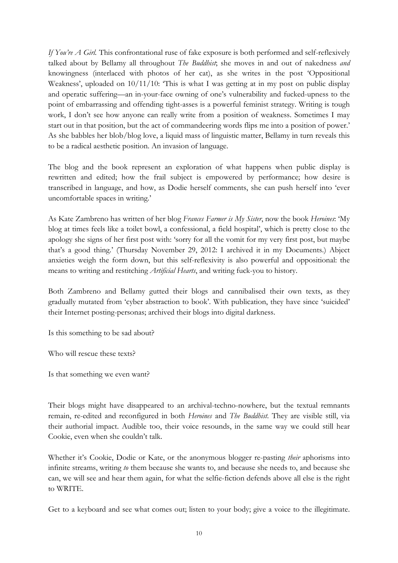*If You're A Girl.* This confrontational ruse of fake exposure is both performed and self-reflexively talked about by Bellamy all throughout *The Buddhist*; she moves in and out of nakedness *and* knowingness (interlaced with photos of her cat), as she writes in the post 'Oppositional Weakness', uploaded on  $10/11/10$ : 'This is what I was getting at in my post on public display and operatic suffering—an in-your-face owning of one's vulnerability and fucked-upness to the point of embarrassing and offending tight-asses is a powerful feminist strategy. Writing is tough work, I don't see how anyone can really write from a position of weakness. Sometimes I may start out in that position, but the act of commandeering words flips me into a position of power.' As she babbles her blob/blog love, a liquid mass of linguistic matter, Bellamy in turn reveals this to be a radical aesthetic position. An invasion of language.

The blog and the book represent an exploration of what happens when public display is rewritten and edited; how the frail subject is empowered by performance; how desire is transcribed in language, and how, as Dodie herself comments, she can push herself into 'ever uncomfortable spaces in writing.'

As Kate Zambreno has written of her blog *Frances Farmer is My Sister*, now the book *Heroines*: 'My blog at times feels like a toilet bowl, a confessional, a field hospital', which is pretty close to the apology she signs of her first post with: 'sorry for all the vomit for my very first post, but maybe that's a good thing.' (Thursday November 29, 2012: I archived it in my Documents.) Abject anxieties weigh the form down, but this self-reflexivity is also powerful and oppositional: the means to writing and restitching *Artificial Hearts*, and writing fuck-you to history.

Both Zambreno and Bellamy gutted their blogs and cannibalised their own texts, as they gradually mutated from 'cyber abstraction to book'. With publication, they have since 'suicided' their Internet posting-personas; archived their blogs into digital darkness.

Is this something to be sad about?

Who will rescue these texts?

Is that something we even want?

Their blogs might have disappeared to an archival-techno-nowhere, but the textual remnants remain, re-edited and reconfigured in both *Heroines* and *The Buddhist*. They are visible still, via their authorial impact. Audible too, their voice resounds, in the same way we could still hear Cookie, even when she couldn't talk.

Whether it's Cookie, Dodie or Kate, or the anonymous blogger re-pasting *their* aphorisms into infinite streams, writing *to* them because she wants to, and because she needs to, and because she can, we will see and hear them again, for what the selfie-fiction defends above all else is the right to WRITE.

Get to a keyboard and see what comes out; listen to your body; give a voice to the illegitimate.